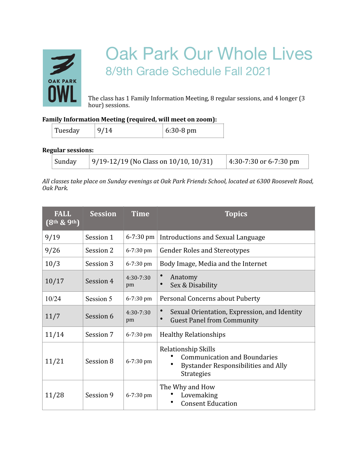

## Oak Park Our Whole Lives 8/9th Grade Schedule Fall 2021

The class has 1 Family Information Meeting, 8 regular sessions, and 4 longer (3) hour) sessions.

## Family Information Meeting (required, will meet on zoom):

| Tuesday | $6:30-8$ pm |
|---------|-------------|

**Regular sessions:** 

| Sunday | $ 9/19 - 12/19$ (No Class on 10/10, 10/31) | $ 4:30-7:30$ or 6-7:30 pm |
|--------|--------------------------------------------|---------------------------|
|--------|--------------------------------------------|---------------------------|

All classes take place on Sunday evenings at Oak Park Friends School, located at 6300 Roosevelt Road, *Oak Park.* 

| <b>FALL</b><br>$(8th$ & 9 <sup>th</sup> ) | <b>Session</b> | <b>Time</b>         | <b>Topics</b>                                                                                                          |
|-------------------------------------------|----------------|---------------------|------------------------------------------------------------------------------------------------------------------------|
| 9/19                                      | Session 1      | $6 - 7:30$ pm       | Introductions and Sexual Language                                                                                      |
| 9/26                                      | Session 2      | 6-7:30 pm           | <b>Gender Roles and Stereotypes</b>                                                                                    |
| 10/3                                      | Session 3      | 6-7:30 pm           | Body Image, Media and the Internet                                                                                     |
| 10/17                                     | Session 4      | $4:30 - 7:30$<br>pm | Anatomy<br>Sex & Disability                                                                                            |
| 10/24                                     | Session 5      | 6-7:30 pm           | Personal Concerns about Puberty                                                                                        |
| 11/7                                      | Session 6      | $4:30 - 7:30$<br>pm | Sexual Orientation, Expression, and Identity<br><b>Guest Panel from Community</b>                                      |
| 11/14                                     | Session 7      | 6-7:30 pm           | <b>Healthy Relationships</b>                                                                                           |
| 11/21                                     | Session 8      | 6-7:30 pm           | Relationship Skills<br><b>Communication and Boundaries</b><br>Bystander Responsibilities and Ally<br><b>Strategies</b> |
| 11/28                                     | Session 9      | $6 - 7:30$ pm       | The Why and How<br>Lovemaking<br><b>Consent Education</b>                                                              |